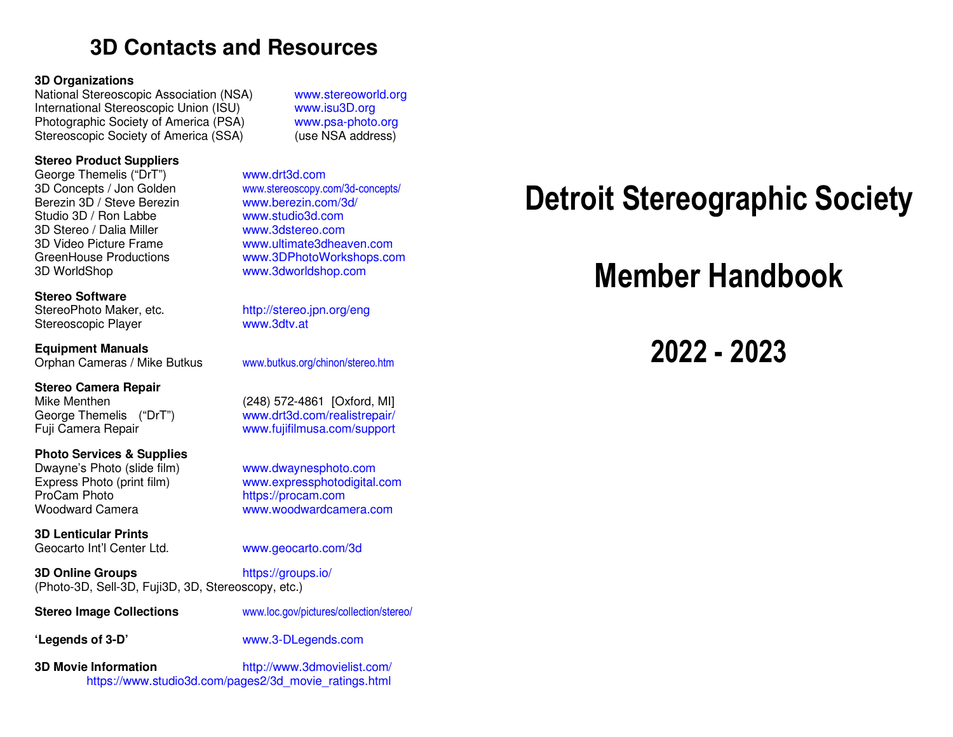### **3D Contacts and Resources**

#### **3D Organizations**

National Stereoscopic Association (NSA) www.stereoworld.org International Stereoscopic Union (ISU) www.isu3D.orgPhotographic Society of America (PSA) Stereoscopic Society of America (SSA)

#### **Stereo Product Suppliers**

George Themelis ("DrT") www.drt3d.comBerezin 3D / Steve Berezin www.berezin.com/3d/Studio 3D / Ron Labbe www.studio3d.com 3D Stereo / Dalia Miller 3D WorldShop www.3dworldshop.com

#### **Stereo Software**

StereoPhoto Maker, etc. Stereoscopic Player

**Equipment Manuals** 

**Stereo Camera Repair** George Themelis ("DrT")

#### **Photo Services & Supplies**

Dwayne's Photo (slide film) www.dwaynesphoto.com ProCam Photo https://procam.com Woodward Camera www.woodwardcamera.com

**3D Lenticular Prints** Geocarto Int'l Center Ltd.

**3D Online Groups** https://groups.io/(Photo-3D, Sell-3D, Fuji3D, 3D, Stereoscopy, etc.)

www.psa-photo.org (use NSA address)

 3D Concepts / Jon Golden www.stereoscopy.com/3d-concepts/www.3dstereo.com 3D Video Picture Frame www.ultimate3dheaven.comGreenHouse Productions www.3DPhotoWorkshops.com

http://stereo.jpn.org/eng<br>www.3dtv.at

Orphan Cameras / Mike Butkus www.butkus.org/chinon/stereo.htm

Mike Menthen (248) 572-4861 [Oxford, MI] www.drt3d.com/realistrepair/ Fuji Camera Repair www.fujifilmusa.com/support

Express Photo (print film) www.expressphotodigital.com

www.geocarto.com/3d

**Stereo Image Collections** www.loc.gov/pictures/collection/stereo/

**'Legends of 3-D'** www.3-DLegends.com

**3D Movie Information** http://www.3dmovielist.com/https://www.studio3d.com/pages2/3d\_movie\_ratings.html

# **Detroit Stereographic Society**

## **Member Handbook**

**2022 - 2023**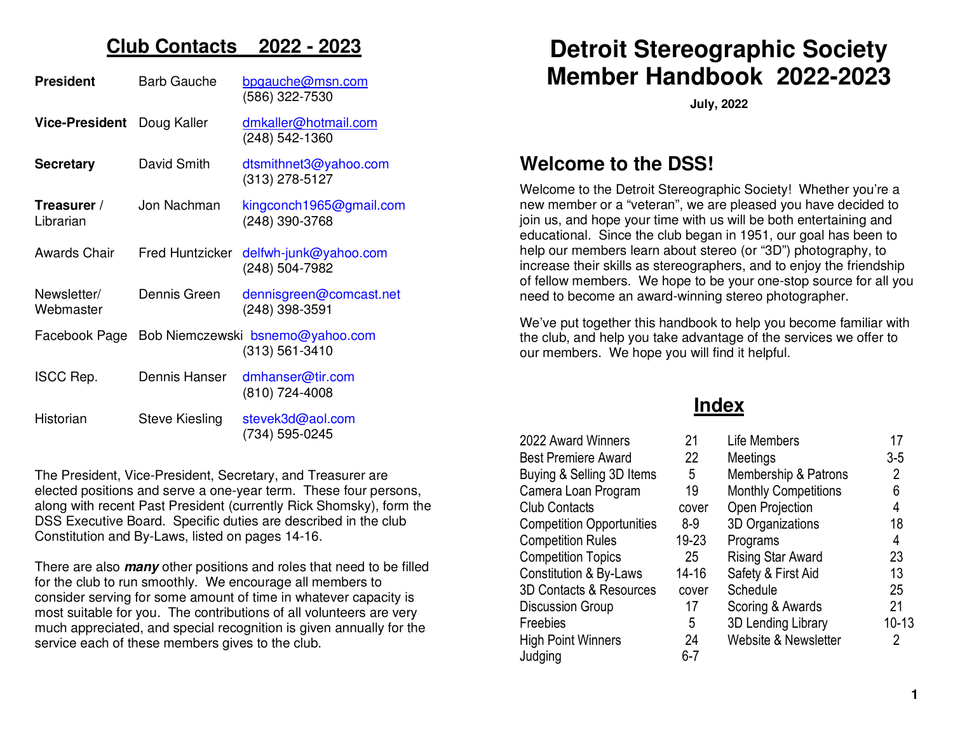### **Club Contacts 2022 - 2023**

| <b>President</b>         | <b>Barb Gauche</b>     | bpgauche@msn.com<br>(586) 322-7530                 |
|--------------------------|------------------------|----------------------------------------------------|
| <b>Vice-President</b>    | Doug Kaller            | dmkaller@hotmail.com<br>(248) 542-1360             |
| <b>Secretary</b>         | David Smith            | dtsmithnet3@yahoo.com<br>(313) 278-5127            |
| Treasurer /<br>Librarian | Jon Nachman            | kingconch1965@gmail.com<br>(248) 390-3768          |
| <b>Awards Chair</b>      | <b>Fred Huntzicker</b> | delfwh-junk@yahoo.com<br>(248) 504-7982            |
| Newsletter/<br>Webmaster | Dennis Green           | dennisgreen@comcast.net<br>(248) 398-3591          |
| Facebook Page            |                        | Bob Niemczewski bsnemo@yahoo.com<br>(313) 561-3410 |
| <b>ISCC Rep.</b>         | Dennis Hanser          | dmhanser@tir.com<br>(810) 724-4008                 |
| Historian                | <b>Steve Kiesling</b>  | stevek3d@aol.com<br>(734) 595-0245                 |

The President, Vice-President, Secretary, and Treasurer are elected positions and serve a one-year term. These four persons, along with recent Past President (currently Rick Shomsky), form the DSS Executive Board. Specific duties are described in the club Constitution and By-Laws, listed on pages 14-16.

There are also **many** other positions and roles that need to be filled for the club to run smoothly. We encourage all members to consider serving for some amount of time in whatever capacity is most suitable for you. The contributions of all volunteers are very much appreciated, and special recognition is given annually for the service each of these members gives to the club.

### **Detroit Stereographic Society Member Handbook 2022-2023**

**July, 2022** 

### **Welcome to the DSS!**

Welcome to the Detroit Stereographic Society! Whether you're a new member or a "veteran", we are pleased you have decided to join us, and hope your time with us will be both entertaining and educational. Since the club began in 1951, our goal has been to help our members learn about stereo (or "3D") photography, to increase their skills as stereographers, and to enjoy the friendship of fellow members. We hope to be your one-stop source for all you need to become an award-winning stereo photographer.

We've put together this handbook to help you become familiar with the club, and help you take advantage of the services we offer to our members. We hope you will find it helpful.

### **Index**

| 2022 Award Winners                | 21        |
|-----------------------------------|-----------|
| <b>Best Premiere Award</b>        | 22        |
| Buying & Selling 3D Items         | 5         |
| Camera Loan Program               | 19        |
| Club Contacts                     | cove      |
| <b>Competition Opportunities</b>  | $8-9$     |
| <b>Competition Rules</b>          | $19 - 23$ |
| <b>Competition Topics</b>         | 25        |
| <b>Constitution &amp; By-Laws</b> | $14 - 16$ |
| 3D Contacts & Resources           | cove      |
| <b>Discussion Group</b>           | 17        |
| Freebies                          | 5         |
| High Point Winners                | 24        |
| Judging                           | $6 - 7$   |
|                                   |           |

| 2022 Award Winners                | 21        | Life Members                | 17      |
|-----------------------------------|-----------|-----------------------------|---------|
| Best Premiere Award               | 22        | Meetings                    | $3-5$   |
| Buying & Selling 3D Items         | 5         | Membership & Patrons        | 2       |
| Camera Loan Program               | 19        | <b>Monthly Competitions</b> | 6       |
| <b>Club Contacts</b>              | cover     | Open Projection             | 4       |
| <b>Competition Opportunities</b>  | $8-9$     | 3D Organizations            | 18      |
| <b>Competition Rules</b>          | 19-23     | Programs                    | 4       |
| <b>Competition Topics</b>         | 25        | <b>Rising Star Award</b>    | 23      |
| <b>Constitution &amp; By-Laws</b> | $14 - 16$ | Safety & First Aid          | 13      |
| 3D Contacts & Resources           | cover     | Schedule                    | 25      |
| Discussion Group                  | 17        | Scoring & Awards            | 21      |
| Freebies                          | 5         | 3D Lending Library          | $10-13$ |
| <b>High Point Winners</b>         | 24        | Website & Newsletter        | 2       |
| hudaina.                          | հ-7       |                             |         |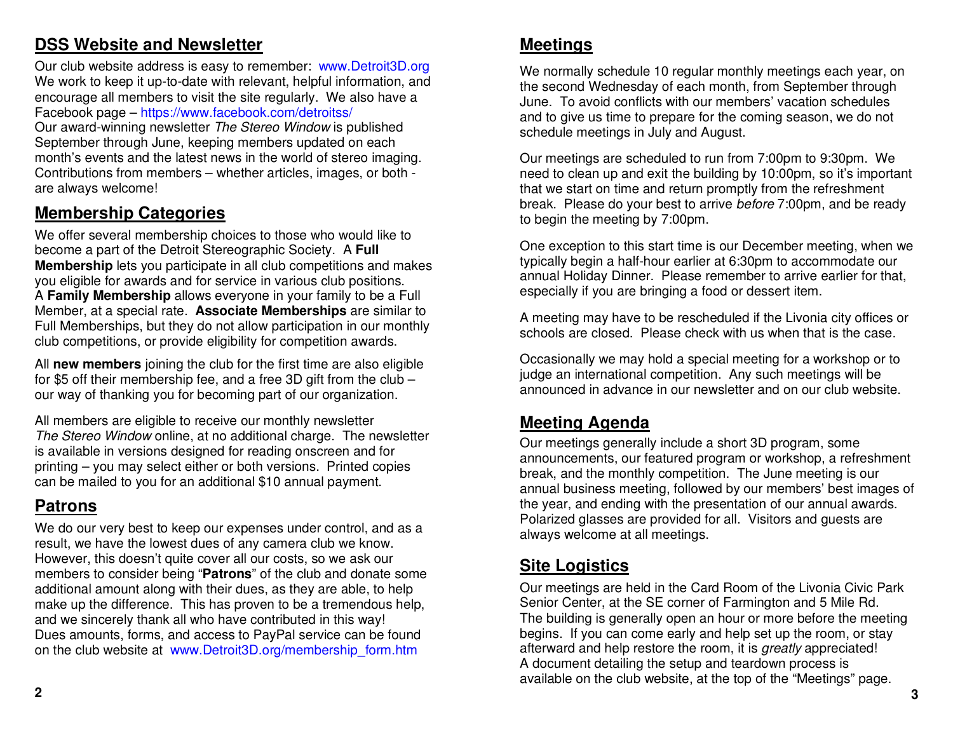### **DSS Website and Newsletter**

Our club website address is easy to remember: www.Detroit3D.org We work to keep it up-to-date with relevant, helpful information, and encourage all members to visit the site regularly. We also have a Facebook page – https://www.facebook.com/detroitss/

Our award-winning newsletter The Stereo Window is published September through June, keeping members updated on each month's events and the latest news in the world of stereo imaging. Contributions from members – whether articles, images, or both are always welcome!

### **Membership Categories**

We offer several membership choices to those who would like to become a part of the Detroit Stereographic Society. A **Full Membership** lets you participate in all club competitions and makesyou eligible for awards and for service in various club positions. A **Family Membership** allows everyone in your family to be a Full Member, at a special rate. **Associate Memberships** are similar to Full Memberships, but they do not allow participation in our monthly club competitions, or provide eligibility for competition awards.

All **new members** joining the club for the first time are also eligible for \$5 off their membership fee, and a free 3D gift from the club – our way of thanking you for becoming part of our organization.

All members are eligible to receive our monthly newsletter The Stereo Window online, at no additional charge. The newsletter is available in versions designed for reading onscreen and for printing – you may select either or both versions. Printed copies can be mailed to you for an additional \$10 annual payment.

### **Patrons**

We do our very best to keep our expenses under control, and as a result, we have the lowest dues of any camera club we know. However, this doesn't quite cover all our costs, so we ask our members to consider being "**Patrons**" of the club and donate some additional amount along with their dues, as they are able, to help make up the difference. This has proven to be a tremendous help, and we sincerely thank all who have contributed in this way! Dues amounts, forms, and access to PayPal service can be found on the club website at www.Detroit3D.org/membership\_form.htm

### **Meetings**

We normally schedule 10 regular monthly meetings each year, on the second Wednesday of each month, from September through June. To avoid conflicts with our members' vacation schedules and to give us time to prepare for the coming season, we do not schedule meetings in July and August.

Our meetings are scheduled to run from 7:00pm to 9:30pm. We need to clean up and exit the building by 10:00pm, so it's important that we start on time and return promptly from the refreshment break. Please do your best to arrive before 7:00pm, and be ready to begin the meeting by 7:00pm.

One exception to this start time is our December meeting, when we typically begin a half-hour earlier at 6:30pm to accommodate our annual Holiday Dinner. Please remember to arrive earlier for that, especially if you are bringing a food or dessert item.

A meeting may have to be rescheduled if the Livonia city offices or schools are closed. Please check with us when that is the case.

Occasionally we may hold a special meeting for a workshop or to judge an international competition. Any such meetings will be announced in advance in our newsletter and on our club website.

### **Meeting Agenda**

Our meetings generally include a short 3D program, some announcements, our featured program or workshop, a refreshment break, and the monthly competition. The June meeting is our annual business meeting, followed by our members' best images of the year, and ending with the presentation of our annual awards. Polarized glasses are provided for all. Visitors and guests are always welcome at all meetings.

### **Site Logistics**

Our meetings are held in the Card Room of the Livonia Civic Park Senior Center, at the SE corner of Farmington and 5 Mile Rd. The building is generally open an hour or more before the meeting begins. If you can come early and help set up the room, or stay afterward and help restore the room, it is greatly appreciated! A document detailing the setup and teardown process is available on the club website, at the top of the "Meetings" page.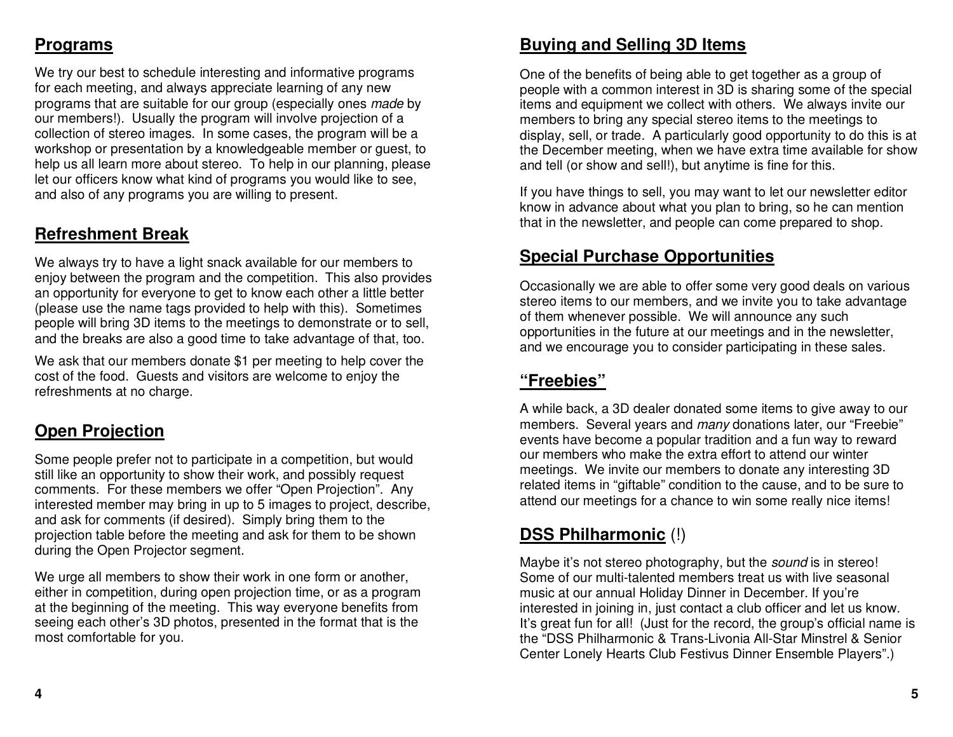### **Programs**

We try our best to schedule interesting and informative programs for each meeting, and always appreciate learning of any new programs that are suitable for our group (especially ones made by our members!). Usually the program will involve projection of a collection of stereo images. In some cases, the program will be a workshop or presentation by a knowledgeable member or guest, to help us all learn more about stereo. To help in our planning, please let our officers know what kind of programs you would like to see, and also of any programs you are willing to present.

### **Refreshment Break**

We always try to have a light snack available for our members to enjoy between the program and the competition. This also provides an opportunity for everyone to get to know each other a little better (please use the name tags provided to help with this). Sometimes people will bring 3D items to the meetings to demonstrate or to sell, and the breaks are also a good time to take advantage of that, too.

We ask that our members donate \$1 per meeting to help cover the cost of the food. Guests and visitors are welcome to enjoy the refreshments at no charge.

### **Open Projection**

Some people prefer not to participate in a competition, but would still like an opportunity to show their work, and possibly request comments. For these members we offer "Open Projection". Any interested member may bring in up to 5 images to project, describe, and ask for comments (if desired). Simply bring them to the projection table before the meeting and ask for them to be shown during the Open Projector segment.

We urge all members to show their work in one form or another, either in competition, during open projection time, or as a program at the beginning of the meeting. This way everyone benefits from seeing each other's 3D photos, presented in the format that is the most comfortable for you.

### **Buying and Selling 3D Items**

One of the benefits of being able to get together as a group of people with a common interest in 3D is sharing some of the special items and equipment we collect with others. We always invite our members to bring any special stereo items to the meetings to display, sell, or trade. A particularly good opportunity to do this is at the December meeting, when we have extra time available for show and tell (or show and sell!), but anytime is fine for this.

If you have things to sell, you may want to let our newsletter editor know in advance about what you plan to bring, so he can mention that in the newsletter, and people can come prepared to shop.

### **Special Purchase Opportunities**

Occasionally we are able to offer some very good deals on various stereo items to our members, and we invite you to take advantage of them whenever possible. We will announce any such opportunities in the future at our meetings and in the newsletter, and we encourage you to consider participating in these sales.

### **"Freebies"**

A while back, a 3D dealer donated some items to give away to our members. Several years and *many* donations later, our "Freebie" events have become a popular tradition and a fun way to reward our members who make the extra effort to attend our winter meetings. We invite our members to donate any interesting 3D related items in "giftable" condition to the cause, and to be sure to attend our meetings for a chance to win some really nice items!

### **DSS Philharmonic** (!)

Maybe it's not stereo photography, but the *sound* is in stereo! Some of our multi-talented members treat us with live seasonal music at our annual Holiday Dinner in December. If you're interested in joining in, just contact a club officer and let us know. It's great fun for all! (Just for the record, the group's official name is the "DSS Philharmonic & Trans-Livonia All-Star Minstrel & Senior Center Lonely Hearts Club Festivus Dinner Ensemble Players".)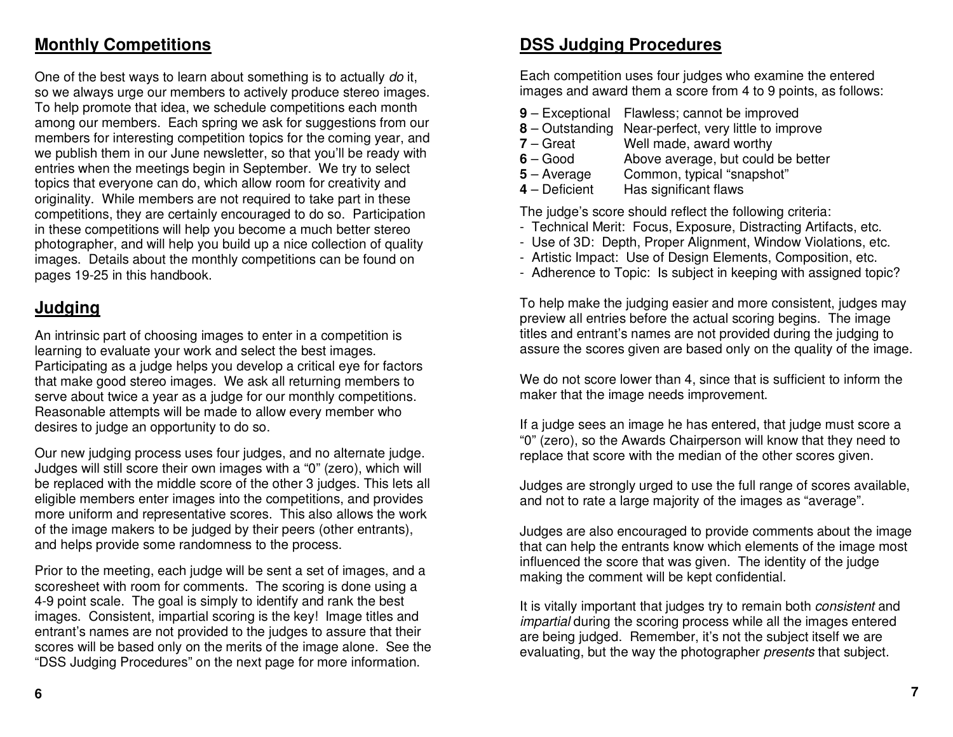### **Monthly Competitions**

One of the best ways to learn about something is to actually do it, so we always urge our members to actively produce stereo images. To help promote that idea, we schedule competitions each month among our members. Each spring we ask for suggestions from our members for interesting competition topics for the coming year, and we publish them in our June newsletter, so that you'll be ready with entries when the meetings begin in September. We try to select topics that everyone can do, which allow room for creativity and originality. While members are not required to take part in these competitions, they are certainly encouraged to do so. Participation in these competitions will help you become a much better stereo photographer, and will help you build up a nice collection of quality images. Details about the monthly competitions can be found on pages 19-25 in this handbook.

### **Judging**

An intrinsic part of choosing images to enter in a competition is learning to evaluate your work and select the best images. Participating as a judge helps you develop a critical eye for factors that make good stereo images. We ask all returning members to serve about twice a year as a judge for our monthly competitions. Reasonable attempts will be made to allow every member who desires to judge an opportunity to do so.

Our new judging process uses four judges, and no alternate judge. Judges will still score their own images with a "0" (zero), which will be replaced with the middle score of the other 3 judges. This lets all eligible members enter images into the competitions, and provides more uniform and representative scores. This also allows the work of the image makers to be judged by their peers (other entrants), and helps provide some randomness to the process.

Prior to the meeting, each judge will be sent a set of images, and a scoresheet with room for comments. The scoring is done using a 4-9 point scale. The goal is simply to identify and rank the best images. Consistent, impartial scoring is the key! Image titles and entrant's names are not provided to the judges to assure that their scores will be based only on the merits of the image alone. See the "DSS Judging Procedures" on the next page for more information.

### **DSS Judging Procedures**

Each competition uses four judges who examine the entered images and award them a score from 4 to 9 points, as follows:

- **9** Exceptional Flawless; cannot be improved
- **8** Outstanding Near-perfect, very little to improve
- **7** Great Well made, award worthy
- $6 Good$  Above average, but could be better
- **5** Average Common, typical "snapshot"<br>**4** Deficient Has significant flaws
- **Has significant flaws**

The judge's score should reflect the following criteria:

- Technical Merit: Focus, Exposure, Distracting Artifacts, etc.
- Use of 3D: Depth, Proper Alignment, Window Violations, etc.
- Artistic Impact: Use of Design Elements, Composition, etc.
- Adherence to Topic: Is subject in keeping with assigned topic?

To help make the judging easier and more consistent, judges may preview all entries before the actual scoring begins. The image titles and entrant's names are not provided during the judging to assure the scores given are based only on the quality of the image.

We do not score lower than 4, since that is sufficient to inform the maker that the image needs improvement.

If a judge sees an image he has entered, that judge must score a "0" (zero), so the Awards Chairperson will know that they need to replace that score with the median of the other scores given.

Judges are strongly urged to use the full range of scores available, and not to rate a large majority of the images as "average".

Judges are also encouraged to provide comments about the image that can help the entrants know which elements of the image most influenced the score that was given. The identity of the judge making the comment will be kept confidential.

It is vitally important that judges try to remain both *consistent* and impartial during the scoring process while all the images enteredare being judged. Remember, it's not the subject itself we are evaluating, but the way the photographer presents that subject.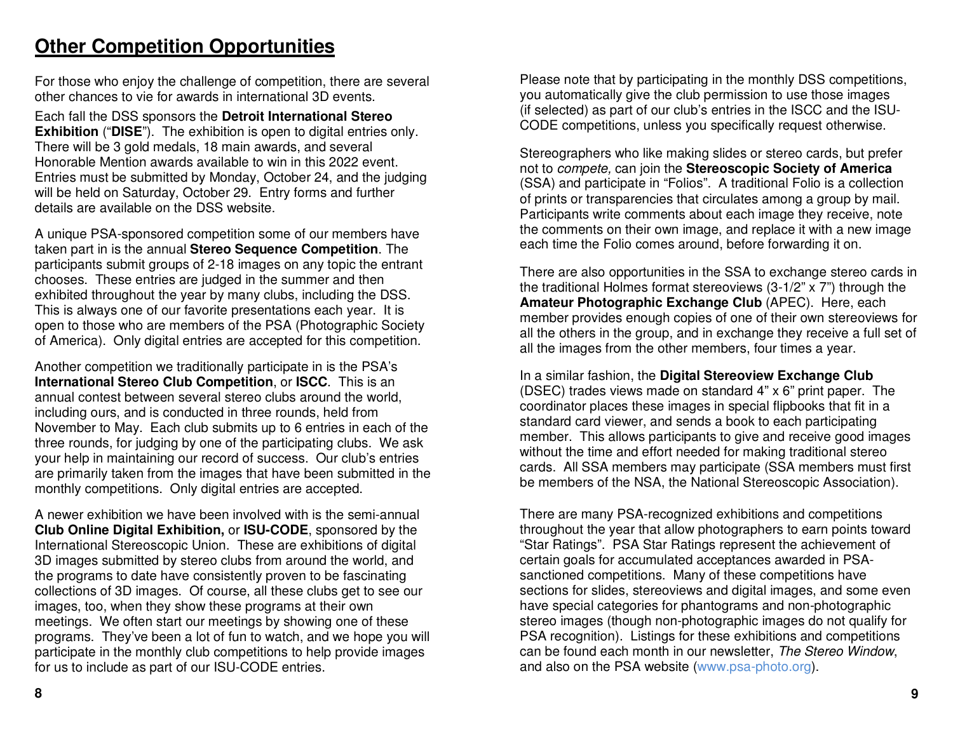### **Other Competition Opportunities**

For those who enjoy the challenge of competition, there are several other chances to vie for awards in international 3D events.

Each fall the DSS sponsors the **Detroit International Stereo Exhibition** ("**DISE**"). The exhibition is open to digital entries only. There will be 3 gold medals, 18 main awards, and several Honorable Mention awards available to win in this 2022 event. Entries must be submitted by Monday, October 24, and the judging will be held on Saturday, October 29. Entry forms and further details are available on the DSS website.

A unique PSA-sponsored competition some of our members have taken part in is the annual **Stereo Sequence Competition**. The participants submit groups of 2-18 images on any topic the entrant chooses. These entries are judged in the summer and then exhibited throughout the year by many clubs, including the DSS. This is always one of our favorite presentations each year. It is open to those who are members of the PSA (Photographic Society of America). Only digital entries are accepted for this competition.

Another competition we traditionally participate in is the PSA's **International Stereo Club Competition**, or **ISCC**. This is an annual contest between several stereo clubs around the world, including ours, and is conducted in three rounds, held from November to May. Each club submits up to 6 entries in each of the three rounds, for judging by one of the participating clubs. We ask your help in maintaining our record of success. Our club's entries are primarily taken from the images that have been submitted in the monthly competitions. Only digital entries are accepted.

A newer exhibition we have been involved with is the semi-annual **Club Online Digital Exhibition,** or **ISU-CODE**, sponsored by the International Stereoscopic Union. These are exhibitions of digital 3D images submitted by stereo clubs from around the world, and the programs to date have consistently proven to be fascinating collections of 3D images. Of course, all these clubs get to see our images, too, when they show these programs at their own meetings. We often start our meetings by showing one of these programs. They've been a lot of fun to watch, and we hope you will participate in the monthly club competitions to help provide images for us to include as part of our ISU-CODE entries.

Please note that by participating in the monthly DSS competitions, you automatically give the club permission to use those images (if selected) as part of our club's entries in the ISCC and the ISU-CODE competitions, unless you specifically request otherwise.

Stereographers who like making slides or stereo cards, but prefer not to compete, can join the **Stereoscopic Society of America** (SSA) and participate in "Folios". A traditional Folio is a collection of prints or transparencies that circulates among a group by mail. Participants write comments about each image they receive, note the comments on their own image, and replace it with a new image each time the Folio comes around, before forwarding it on.

There are also opportunities in the SSA to exchange stereo cards in the traditional Holmes format stereoviews (3-1/2" x 7") through the **Amateur Photographic Exchange Club** (APEC). Here, each member provides enough copies of one of their own stereoviews for all the others in the group, and in exchange they receive a full set of all the images from the other members, four times a year.

In a similar fashion, the **Digital Stereoview Exchange Club** (DSEC) trades views made on standard 4" x 6" print paper. The coordinator places these images in special flipbooks that fit in a standard card viewer, and sends a book to each participating member. This allows participants to give and receive good images without the time and effort needed for making traditional stereo cards. All SSA members may participate (SSA members must first be members of the NSA, the National Stereoscopic Association).

There are many PSA-recognized exhibitions and competitions throughout the year that allow photographers to earn points toward "Star Ratings". PSA Star Ratings represent the achievement of certain goals for accumulated acceptances awarded in PSAsanctioned competitions. Many of these competitions have sections for slides, stereoviews and digital images, and some even have special categories for phantograms and non-photographic stereo images (though non-photographic images do not qualify for PSA recognition). Listings for these exhibitions and competitions can be found each month in our newsletter, The Stereo Window, and also on the PSA website (www.psa-photo.org).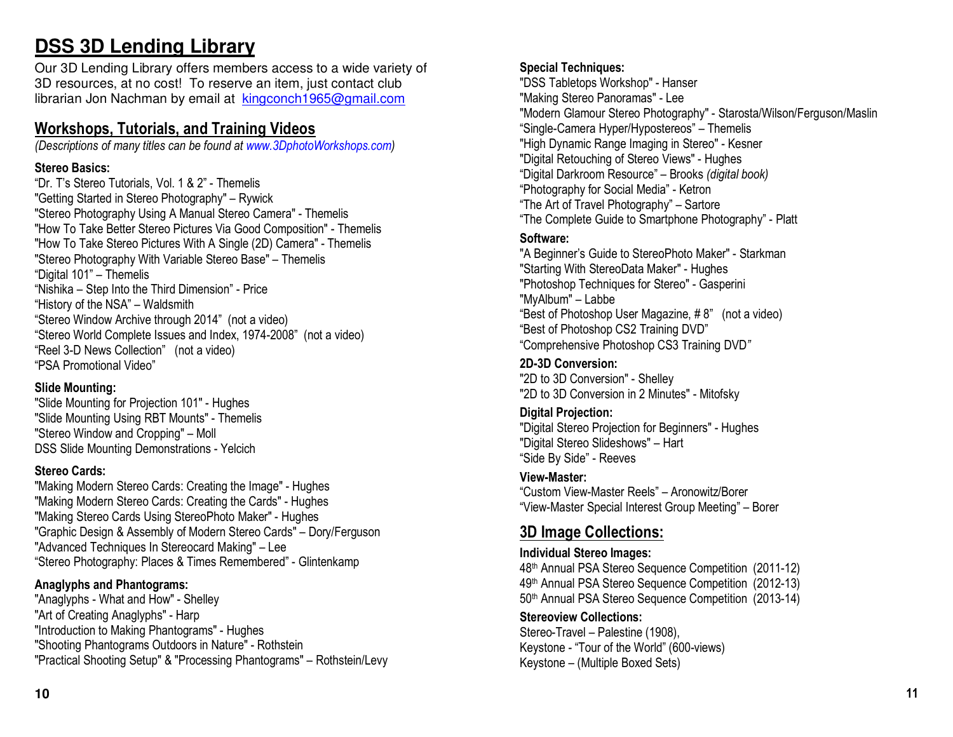### **DSS 3D Lending Library**

Our 3D Lending Library offers members access to a wide variety of 3D resources, at no cost! To reserve an item, just contact club librarian Jon Nachman by email at kingconch1965@gmail.com

### **Workshops, Tutorials, and Training Videos**

*(Descriptions of many titles can be found at www.3DphotoWorkshops.com)*

#### **Stereo Basics:**

"Dr. T's Stereo Tutorials, Vol. 1 & 2" - Themelis "Getting Started in Stereo Photography" – Rywick "Stereo Photography Using A Manual Stereo Camera" - Themelis "How To Take Better Stereo Pictures Via Good Composition" - Themelis "How To Take Stereo Pictures With A Single (2D) Camera" - Themelis "Stereo Photography With Variable Stereo Base" – Themelis "Digital 101" – Themelis "Nishika – Step Into the Third Dimension" - Price "History of the NSA" – Waldsmith "Stereo Window Archive through 2014" (not a video) "Stereo World Complete Issues and Index, 1974-2008" (not a video) "Reel 3-D News Collection" (not a video) "PSA Promotional Video"

#### **Slide Mounting:**

 "Slide Mounting for Projection 101" - Hughes "Slide Mounting Using RBT Mounts" - Themelis "Stereo Window and Cropping" – Moll DSS Slide Mounting Demonstrations - Yelcich

#### **Stereo Cards:**

 "Making Modern Stereo Cards: Creating the Image" - Hughes "Making Modern Stereo Cards: Creating the Cards" - Hughes "Making Stereo Cards Using StereoPhoto Maker" - Hughes "Graphic Design & Assembly of Modern Stereo Cards" – Dory/Ferguson "Advanced Techniques In Stereocard Making" – Lee "Stereo Photography: Places & Times Remembered" - Glintenkamp

#### **Anaglyphs and Phantograms:**

 "Anaglyphs - What and How" - Shelley "Art of Creating Anaglyphs" - Harp "Introduction to Making Phantograms" - Hughes "Shooting Phantograms Outdoors in Nature" - Rothstein "Practical Shooting Setup" & "Processing Phantograms" – Rothstein/Levy

#### **Special Techniques:**

 "DSS Tabletops Workshop" - Hanser "Making Stereo Panoramas" - Lee "Modern Glamour Stereo Photography" - Starosta/Wilson/Ferguson/Maslin "Single-Camera Hyper/Hypostereos" – Themelis "High Dynamic Range Imaging in Stereo" - Kesner "Digital Retouching of Stereo Views" - Hughes "Digital Darkroom Resource" – Brooks *(digital book)* "Photography for Social Media" - Ketron "The Art of Travel Photography" – Sartore "The Complete Guide to Smartphone Photography" - Platt

#### **Software:**

"A Beginner's Guide to StereoPhoto Maker" - Starkman "Starting With StereoData Maker" - Hughes "Photoshop Techniques for Stereo" - Gasperini "MyAlbum" – Labbe "Best of Photoshop User Magazine, # 8" (not a video) "Best of Photoshop CS2 Training DVD" "Comprehensive Photoshop CS3 Training DVD*"* 

**2D-3D Conversion:** "2D to 3D Conversion" - Shelley "2D to 3D Conversion in 2 Minutes" - Mitofsky

#### **Digital Projection:**

 "Digital Stereo Projection for Beginners" - Hughes "Digital Stereo Slideshows" – Hart "Side By Side" - Reeves

#### **View-Master:**

 "Custom View-Master Reels" – Aronowitz/Borer "View-Master Special Interest Group Meeting" – Borer

### **3D Image Collections:**

#### **Individual Stereo Images:**

48<sup>th</sup> Annual PSA Stereo Sequence Competition (2011-12) 49<sup>th</sup> Annual PSA Stereo Sequence Competition (2012-13) 50<sup>th</sup> Annual PSA Stereo Sequence Competition (2013-14)

#### **Stereoview Collections:**  Stereo-Travel – Palestine (1908), Keystone - "Tour of the World" (600-views) Keystone – (Multiple Boxed Sets)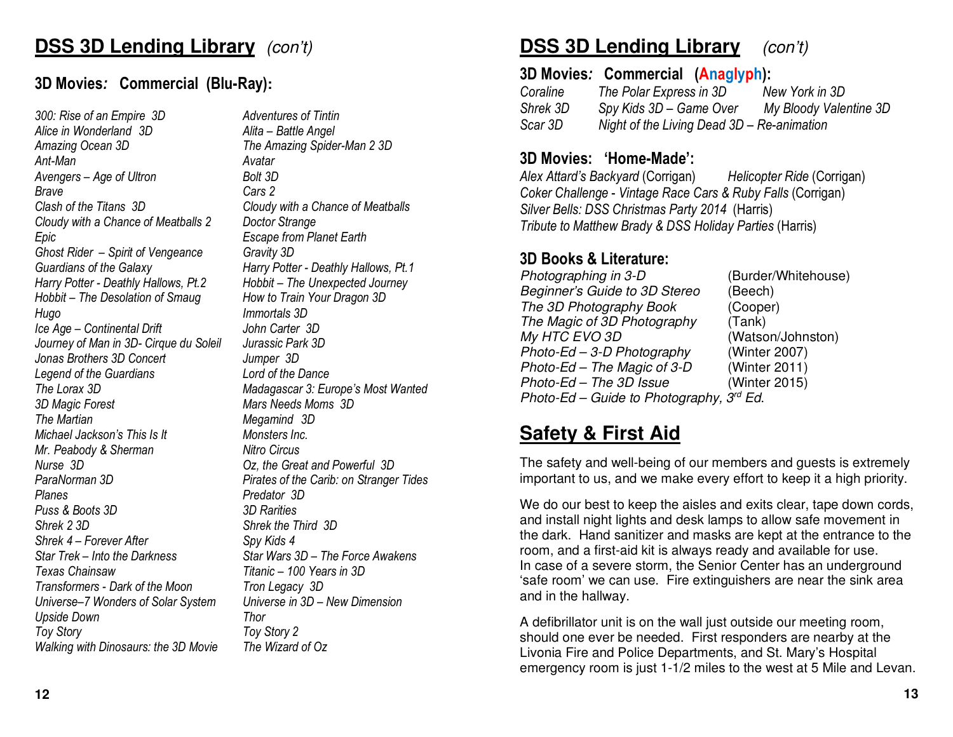## **DSS 3D Lending Library** (con't)

### **3D Movies***:* **Commercial (Blu-Ray):**

*300: Rise of an Empire 3D Adventures of Tintin Alice in Wonderland 3D Alita – Battle Angel Amazing Ocean 3D The Amazing Spider-Man 2 3D Ant-Man Avatar* Avengers – Age of Ultron *Brave Cars 2 Clash of the Titans 3D Cloudy with a Chance of Meatballs Cloudy with a Chance of Meatballs 2 Doctor Strange Epic Escape from Planet Earth Ghost Rider – Spirit of Vengeance Gravity 3D* Guardians of the Galaxy **Harry Potter - Deathly Hallows**, Pt.1 *Harry Potter - Deathly Hallows, Pt.2 Hobbit – The Unexpected Journey Hobbit – The Desolation of Smaug How to Train Your Dragon 3D Hugo Immortals 3D Ice Age – Continental Drift* Journey of Man in 3D- Cirque du Soleil *Jonas Brothers 3D Concert Jumper 3D* Legend of the Guardians *The Lorax 3D Madagascar 3: Europe's Most Wanted 3D Magic Forest Mars Needs Moms 3D* **The Martian Community Community Community Megamind 3D** *Michael Jackson's This Is It Monsters Inc. Mr. Peabody & Sherman* Nitro Circus *Nurse 3D Oz, the Great and Powerful 3D ParaNorman 3D Pirates of the Carib: on Stranger Tides Planes Predator 3D Puss & Boots 3D 3D Rarities Shrek 2 3D Shrek the Third 3D Shrek 4 – Forever After Spy Kids 4 Star Trek – Into the Darkness Star Wars 3D – The Force Awakens Texas Chainsaw Titanic – 100 Years in 3D Transformers - Dark of the Moon Tron Legacy 3D Universe–7 Wonders of Solar System Upside Down Thor Toy Story Toy Story 2Walking with Dinosaurs: the 3D Movie* 

Bolt 3D John Carter 3D Jurassic Park 3D Lord of the Dance Universe in 3D - New Dimension The Wizard of Oz

#### **DSS 3D Lending Library**(con't)

#### **3D Movies***:* **Commercial (Anaglyph):**

 *Coraline The Polar Express in 3D New York in 3D* New York in 3D My Bloody Valentine 3D *Shrek 3D* Spy Kids 3D – Game Over *Scar 3D Night of the Living Dead 3D – Re-animation* 

### **3D Movies: 'Home-Made':**

 *Alex Attard's Backyard* (Corrigan) *Helicopter Ride* (Corrigan) *Coker Challenge* - *Vintage Race Cars & Ruby Falls* (Corrigan) *Silver Bells: DSS Christmas Party 2014* (Harris) *Tribute to Matthew Brady & DSS Holiday Parties* (Harris)

### **3D Books & Literature:**

Photographing in 3-D (Burder/Whitehouse) Beginner's Guide to 3D Stereo (Beech) (Cooper) The 3D Photography Book The Magic of 3D Photography (Tank) My HTC EVO 3D (Watson/Johnston) Photo-Ed – 3-D Photography (Winter 2007) (Winter 2011) Photo-Ed – The Magic of 3-D (Winter 2015)  $Photo$ -The 3D Issue Photo-Ed – Guide to Photography,  $3^{rd}$  Ed.

### **Safety & First Aid**

The safety and well-being of our members and guests is extremely important to us, and we make every effort to keep it a high priority.

We do our best to keep the aisles and exits clear, tape down cords, and install night lights and desk lamps to allow safe movement in the dark. Hand sanitizer and masks are kept at the entrance to the room, and a first-aid kit is always ready and available for use. In case of a severe storm, the Senior Center has an underground 'safe room' we can use. Fire extinguishers are near the sink area and in the hallway.

A defibrillator unit is on the wall just outside our meeting room, should one ever be needed. First responders are nearby at the Livonia Fire and Police Departments, and St. Mary's Hospital emergency room is just 1-1/2 miles to the west at 5 Mile and Levan.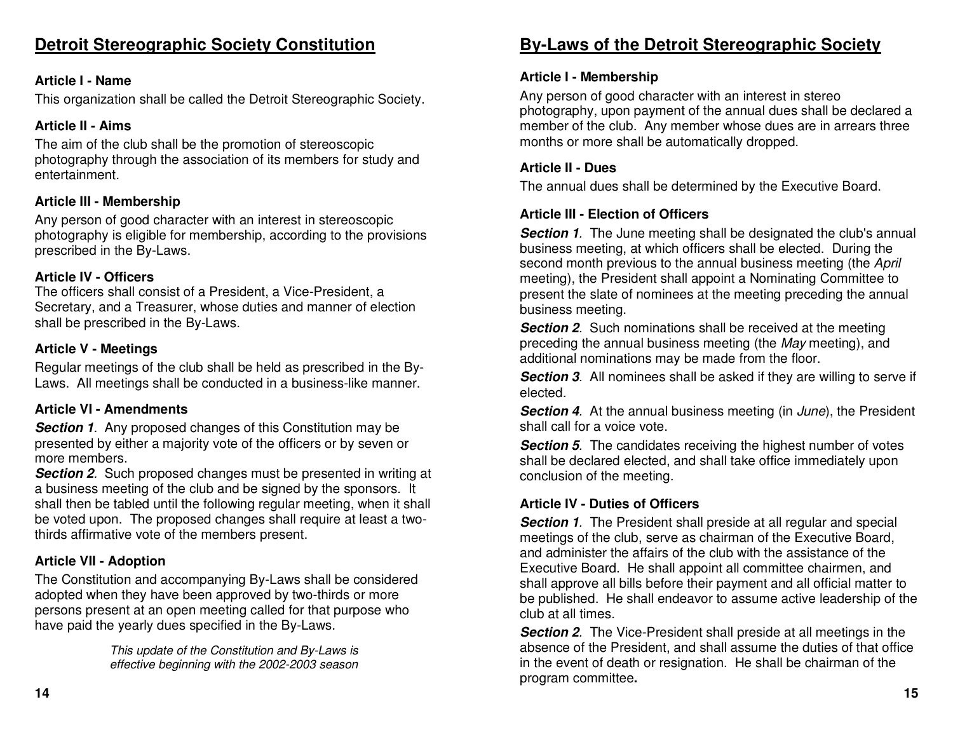### **Detroit Stereographic Society Constitution**

#### **Article I - Name**

This organization shall be called the Detroit Stereographic Society.

#### **Article II - Aims**

The aim of the club shall be the promotion of stereoscopic photography through the association of its members for study and entertainment.

#### **Article III - Membership**

Any person of good character with an interest in stereoscopic photography is eligible for membership, according to the provisions prescribed in the By-Laws.

#### **Article IV - Officers**

 The officers shall consist of a President, a Vice-President, a Secretary, and a Treasurer, whose duties and manner of election shall be prescribed in the By-Laws.

#### **Article V - Meetings**

Regular meetings of the club shall be held as prescribed in the By-Laws. All meetings shall be conducted in a business-like manner.

#### **Article VI - Amendments**

**Section 1.** Any proposed changes of this Constitution may be presented by either a majority vote of the officers or by seven or more members.

 **Section 2**. Such proposed changes must be presented in writing at a business meeting of the club and be signed by the sponsors. It shall then be tabled until the following regular meeting, when it shall be voted upon. The proposed changes shall require at least a twothirds affirmative vote of the members present.

#### **Article VII - Adoption**

The Constitution and accompanying By-Laws shall be considered adopted when they have been approved by two-thirds or more persons present at an open meeting called for that purpose who have paid the yearly dues specified in the By-Laws.

> This update of the Constitution and By-Laws is effective beginning with the 2002-2003 season

### **By-Laws of the Detroit Stereographic Society**

#### **Article I - Membership**

Any person of good character with an interest in stereo photography, upon payment of the annual dues shall be declared a member of the club. Any member whose dues are in arrears three months or more shall be automatically dropped.

#### **Article II - Dues**

The annual dues shall be determined by the Executive Board.

#### **Article III - Election of Officers**

**Section 1.** The June meeting shall be designated the club's annual business meeting, at which officers shall be elected. During the second month previous to the annual business meeting (the April meeting), the President shall appoint a Nominating Committee to present the slate of nominees at the meeting preceding the annual business meeting.

**Section 2.** Such nominations shall be received at the meeting preceding the annual business meeting (the May meeting), and additional nominations may be made from the floor.

**Section 3.** All nominees shall be asked if they are willing to serve if elected.

**Section 4.** At the annual business meeting (in June), the President shall call for a voice vote.

**Section 5**. The candidates receiving the highest number of votes shall be declared elected, and shall take office immediately upon conclusion of the meeting.

#### **Article IV - Duties of Officers**

**Section 1.** The President shall preside at all regular and special meetings of the club, serve as chairman of the Executive Board, and administer the affairs of the club with the assistance of the Executive Board. He shall appoint all committee chairmen, and shall approve all bills before their payment and all official matter to be published. He shall endeavor to assume active leadership of the club at all times.

**Section 2.** The Vice-President shall preside at all meetings in the absence of the President, and shall assume the duties of that office in the event of death or resignation. He shall be chairman of the program committee**.**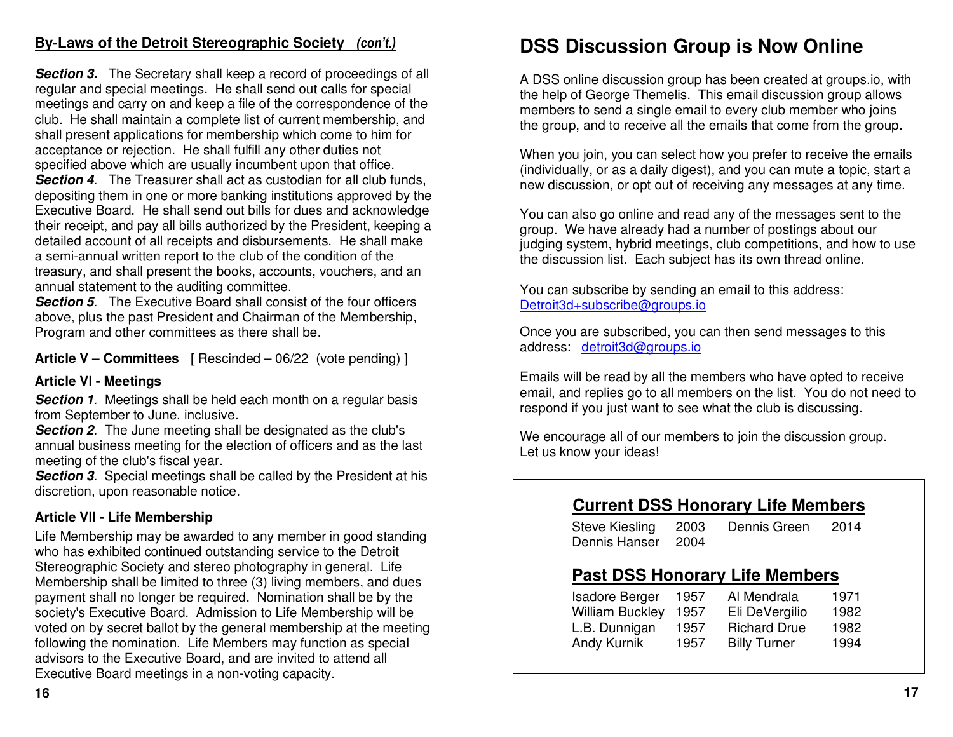### **By-Laws of the Detroit Stereographic Society** *(con't.)*

**Section 3.** The Secretary shall keep a record of proceedings of all regular and special meetings. He shall send out calls for special meetings and carry on and keep a file of the correspondence of the club. He shall maintain a complete list of current membership, and shall present applications for membership which come to him for acceptance or rejection. He shall fulfill any other duties not specified above which are usually incumbent upon that office. **Section 4**. The Treasurer shall act as custodian for all club funds, depositing them in one or more banking institutions approved by the Executive Board. He shall send out bills for dues and acknowledge their receipt, and pay all bills authorized by the President, keeping a detailed account of all receipts and disbursements. He shall make a semi-annual written report to the club of the condition of the treasury, and shall present the books, accounts, vouchers, and an annual statement to the auditing committee.

 **Section 5**. The Executive Board shall consist of the four officers above, plus the past President and Chairman of the Membership, Program and other committees as there shall be.

**Article V – Committees** [ Rescinded – 06/22 (vote pending) ]

#### **Article VI - Meetings**

**Section 1.** Meetings shall be held each month on a regular basis from September to June, inclusive.

 **Section 2**. The June meeting shall be designated as the club's annual business meeting for the election of officers and as the last meeting of the club's fiscal year.

 **Section 3**. Special meetings shall be called by the President at his discretion, upon reasonable notice.

#### **Article VII - Life Membership**

Life Membership may be awarded to any member in good standing who has exhibited continued outstanding service to the Detroit Stereographic Society and stereo photography in general. Life Membership shall be limited to three (3) living members, and dues payment shall no longer be required. Nomination shall be by the society's Executive Board. Admission to Life Membership will be voted on by secret ballot by the general membership at the meeting following the nomination. Life Members may function as special advisors to the Executive Board, and are invited to attend all Executive Board meetings in a non-voting capacity.

### **DSS Discussion Group is Now Online**

A DSS online discussion group has been created at groups.io, with the help of George Themelis. This email discussion group allows members to send a single email to every club member who joins the group, and to receive all the emails that come from the group.

When you join, you can select how you prefer to receive the emails (individually, or as a daily digest), and you can mute a topic, start a new discussion, or opt out of receiving any messages at any time.

You can also go online and read any of the messages sent to the group. We have already had a number of postings about our judging system, hybrid meetings, club competitions, and how to use the discussion list. Each subject has its own thread online.

You can subscribe by sending an email to this address: Detroit3d+subscribe@groups.io

Once you are subscribed, you can then send messages to this address: detroit3d@groups.io

Emails will be read by all the members who have opted to receive email, and replies go to all members on the list. You do not need to respond if you just want to see what the club is discussing.

We encourage all of our members to join the discussion group. Let us know your ideas!

### **Current DSS Honorary Life Members**

| Steve Kiesling     | 2003 | Dennis Green | 2014 |
|--------------------|------|--------------|------|
| Dennis Hanser 2004 |      |              |      |

### **Past DSS Honorary Life Members**

| <b>Isadore Berger</b>  | 1957 | Al Mendrala         | 1971 |
|------------------------|------|---------------------|------|
| <b>William Buckley</b> | 1957 | Eli DeVergilio      | 1982 |
| L.B. Dunnigan          | 1957 | <b>Richard Drue</b> | 1982 |
| Andy Kurnik            | 1957 | <b>Billy Turner</b> | 1994 |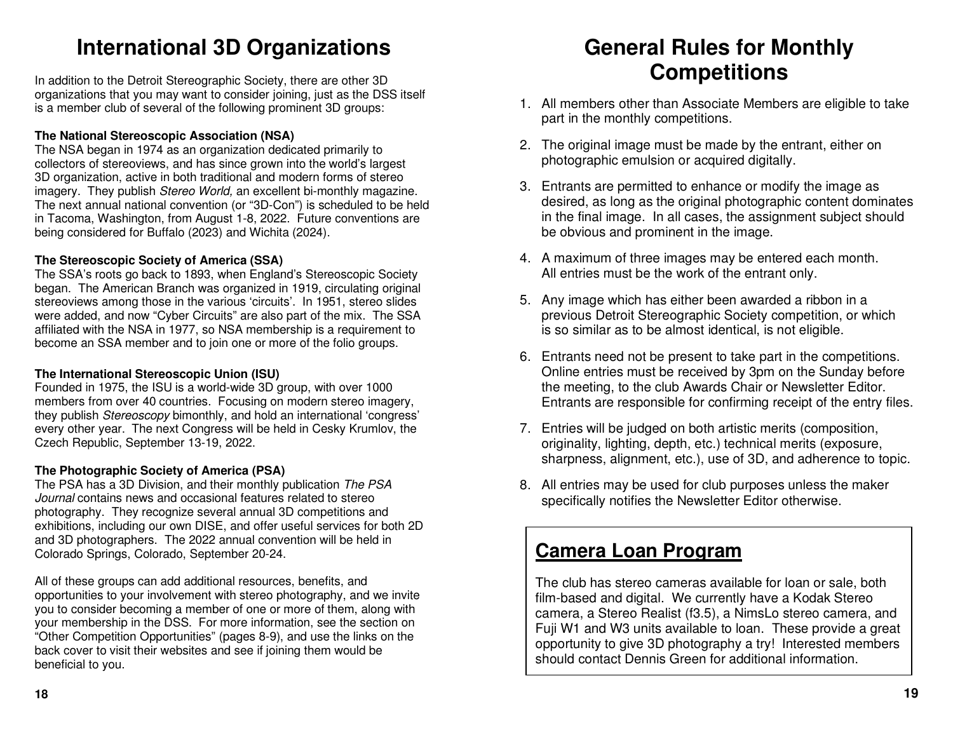### **International 3D Organizations**

In addition to the Detroit Stereographic Society, there are other 3D organizations that you may want to consider joining, just as the DSS itself is a member club of several of the following prominent 3D groups:

#### **The National Stereoscopic Association (NSA)**

 The NSA began in 1974 as an organization dedicated primarily to collectors of stereoviews, and has since grown into the world's largest 3D organization, active in both traditional and modern forms of stereo imagery. They publish Stereo World, an excellent bi-monthly magazine. The next annual national convention (or "3D-Con") is scheduled to be held in Tacoma, Washington, from August 1-8, 2022. Future conventions are being considered for Buffalo (2023) and Wichita (2024).

#### **The Stereoscopic Society of America (SSA)**

 The SSA's roots go back to 1893, when England's Stereoscopic Society began. The American Branch was organized in 1919, circulating original stereoviews among those in the various 'circuits'. In 1951, stereo slides were added, and now "Cyber Circuits" are also part of the mix. The SSA affiliated with the NSA in 1977, so NSA membership is a requirement to become an SSA member and to join one or more of the folio groups.

#### **The International Stereoscopic Union (ISU)**

 Founded in 1975, the ISU is a world-wide 3D group, with over 1000 members from over 40 countries. Focusing on modern stereo imagery, they publish Stereoscopy bimonthly, and hold an international 'congress' every other year. The next Congress will be held in Cesky Krumlov, the Czech Republic, September 13-19, 2022.

#### **The Photographic Society of America (PSA)**

 The PSA has a 3D Division, and their monthly publication The PSA Journal contains news and occasional features related to stereo photography. They recognize several annual 3D competitions and exhibitions, including our own DISE, and offer useful services for both 2D and 3D photographers. The 2022 annual convention will be held in Colorado Springs, Colorado, September 20-24.

All of these groups can add additional resources, benefits, and opportunities to your involvement with stereo photography, and we invite you to consider becoming a member of one or more of them, along with your membership in the DSS. For more information, see the section on "Other Competition Opportunities" (pages 8-9), and use the links on the back cover to visit their websites and see if joining them would be beneficial to you.

### **General Rules for Monthly Competitions**

- 1. All members other than Associate Members are eligible to take part in the monthly competitions.
- 2. The original image must be made by the entrant, either on photographic emulsion or acquired digitally.
- 3. Entrants are permitted to enhance or modify the image as desired, as long as the original photographic content dominates in the final image. In all cases, the assignment subject should be obvious and prominent in the image.
- 4. A maximum of three images may be entered each month.All entries must be the work of the entrant only.
- 5. Any image which has either been awarded a ribbon in a previous Detroit Stereographic Society competition, or which is so similar as to be almost identical, is not eligible.
- 6. Entrants need not be present to take part in the competitions. Online entries must be received by 3pm on the Sunday before the meeting, to the club Awards Chair or Newsletter Editor. Entrants are responsible for confirming receipt of the entry files.
- 7. Entries will be judged on both artistic merits (composition, originality, lighting, depth, etc.) technical merits (exposure, sharpness, alignment, etc.), use of 3D, and adherence to topic.
- 8. All entries may be used for club purposes unless the maker specifically notifies the Newsletter Editor otherwise.

### **Camera Loan Program**

The club has stereo cameras available for loan or sale, both film-based and digital. We currently have a Kodak Stereo camera, a Stereo Realist (f3.5), a NimsLo stereo camera, and Fuji W1 and W3 units available to loan. These provide a great opportunity to give 3D photography a try! Interested members should contact Dennis Green for additional information.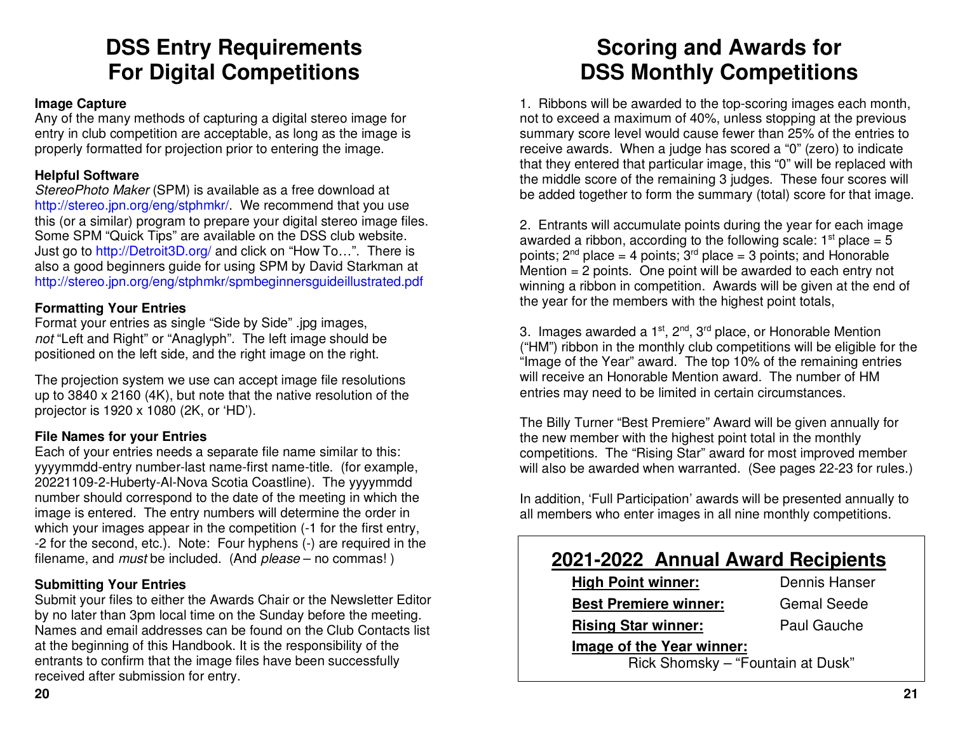### **DSS Entry Requirements For Digital Competitions**

#### **Image Capture**

 Any of the many methods of capturing a digital stereo image for entry in club competition are acceptable, as long as the image is properly formatted for projection prior to entering the image.

#### **Helpful Software**

StereoPhoto Maker (SPM) is available as a free download at http://stereo.jpn.org/eng/stphmkr/. We recommend that you use this (or a similar) program to prepare your digital stereo image files. Some SPM "Quick Tips" are available on the DSS club website. Just go to http://Detroit3D.org/ and click on "How To...". There is also a good beginners guide for using SPM by David Starkman at http://stereo.jpn.org/eng/stphmkr/spmbeginnersguideillustrated.pdf

#### **Formatting Your Entries**

 Format your entries as single "Side by Side" .jpg images, not "Left and Right" or "Anaglyph". The left image should be positioned on the left side, and the right image on the right.

The projection system we use can accept image file resolutions up to 3840 x 2160 (4K), but note that the native resolution of the projector is 1920 x 1080 (2K, or 'HD').

#### **File Names for your Entries**

 Each of your entries needs a separate file name similar to this: yyyymmdd-entry number-last name-first name-title. (for example, 20221109-2-Huberty-Al-Nova Scotia Coastline). The yyyymmdd number should correspond to the date of the meeting in which the image is entered. The entry numbers will determine the order in which your images appear in the competition (-1 for the first entry, -2 for the second, etc.). Note: Four hyphens (-) are required in the filename, and *must* be included. (And *please* – no commas!)

#### **Submitting Your Entries**

 Submit your files to either the Awards Chair or the Newsletter Editor by no later than 3pm local time on the Sunday before the meeting. Names and email addresses can be found on the Club Contacts list at the beginning of this Handbook. It is the responsibility of the entrants to confirm that the image files have been successfully received after submission for entry.

### **Scoring and Awards for DSS Monthly Competitions**

1. Ribbons will be awarded to the top-scoring images each month, not to exceed a maximum of 40%, unless stopping at the previous summary score level would cause fewer than 25% of the entries to receive awards. When a judge has scored a "0" (zero) to indicate that they entered that particular image, this "0" will be replaced with the middle score of the remaining 3 judges. These four scores will be added together to form the summary (total) score for that image.

2. Entrants will accumulate points during the year for each image awarded a ribbon, according to the following scale:  $1<sup>st</sup>$  place = 5 points;  $2^{nd}$  place = 4 points;  $3^{rd}$  place = 3 points; and Honorable Mention = 2 points. One point will be awarded to each entry not winning a ribbon in competition. Awards will be given at the end of the year for the members with the highest point totals,

3. Images awarded a  $1<sup>st</sup>$ ,  $2<sup>nd</sup>$ ,  $3<sup>rd</sup>$  place, or Honorable Mention ("HM") ribbon in the monthly club competitions will be eligible for the "Image of the Year" award. The top 10% of the remaining entries will receive an Honorable Mention award. The number of HM entries may need to be limited in certain circumstances.

The Billy Turner "Best Premiere" Award will be given annually for the new member with the highest point total in the monthly competitions. The "Rising Star" award for most improved member will also be awarded when warranted. (See pages 22-23 for rules.)

In addition, 'Full Participation' awards will be presented annually to all members who enter images in all nine monthly competitions.

### **2021-2022 Annual Award Recipients**

| <b>High Point winner:</b>         | Dennis Hanser      |  |
|-----------------------------------|--------------------|--|
| <b>Best Premiere winner:</b>      | <b>Gemal Seede</b> |  |
| <b>Rising Star winner:</b>        | Paul Gauche        |  |
| Image of the Year winner:         |                    |  |
| Rick Shomsky - "Fountain at Dusk" |                    |  |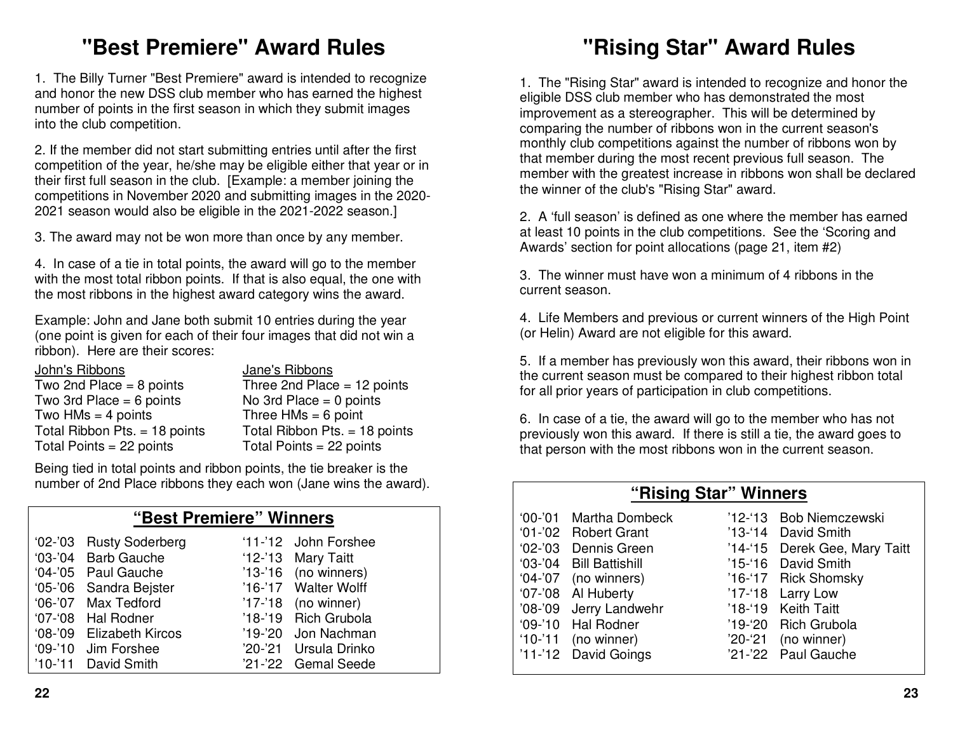### **"Best Premiere" Award Rules**

1. The Billy Turner "Best Premiere" award is intended to recognize and honor the new DSS club member who has earned the highest number of points in the first season in which they submit images into the club competition.

2. If the member did not start submitting entries until after the first competition of the year, he/she may be eligible either that year or in their first full season in the club. [Example: a member joining the competitions in November 2020 and submitting images in the 2020-2021 season would also be eligible in the 2021-2022 season.]

3. The award may not be won more than once by any member.

4. In case of a tie in total points, the award will go to the member with the most total ribbon points. If that is also equal, the one with the most ribbons in the highest award category wins the award.

Example: John and Jane both submit 10 entries during the year (one point is given for each of their four images that did not win a ribbon). Here are their scores:

| John's Ribbons                  | Jane's Ribbons                  |
|---------------------------------|---------------------------------|
| Two 2nd Place $= 8$ points      | Three 2nd Place = $12$ points   |
| Two 3rd Place = $6$ points      | No 3rd Place = $0$ points       |
| Two $HMs = 4$ points            | Three $HMs = 6$ point           |
| Total Ribbon Pts. $=$ 18 points | Total Ribbon Pts. $=$ 18 points |
| Total Points = $22$ points      | Total Points $= 22$ points      |

Being tied in total points and ribbon points, the tie breaker is the number of 2nd Place ribbons they each won (Jane wins the award).

### **"Best Premiere" Winners**

| '02-'03 Rusty Soderberg  | '11-'12 John Forshee   |  |
|--------------------------|------------------------|--|
| '03-'04 Barb Gauche      | '12-'13 Mary Taitt     |  |
| '04-'05 Paul Gauche      | $'13-'16$ (no winners) |  |
| '05-'06 Sandra Bejster   | '16-'17 Walter Wolff   |  |
| '06-'07 Max Tedford      | $'17-'18$ (no winner)  |  |
| '07-'08 Hal Rodner       | '18-'19 Rich Grubola   |  |
| '08-'09 Elizabeth Kircos | '19-'20 Jon Nachman    |  |
| '09-'10 Jim Forshee      | '20-'21 Ursula Drinko  |  |
| '10-'11 David Smith      | '21-'22 Gemal Seede    |  |

## **"Rising Star" Award Rules**

1. The "Rising Star" award is intended to recognize and honor the eligible DSS club member who has demonstrated the most improvement as a stereographer. This will be determined by comparing the number of ribbons won in the current season's monthly club competitions against the number of ribbons won by that member during the most recent previous full season. The member with the greatest increase in ribbons won shall be declared the winner of the club's "Rising Star" award.

2. A 'full season' is defined as one where the member has earned at least 10 points in the club competitions. See the 'Scoring and Awards' section for point allocations (page 21, item #2)

3. The winner must have won a minimum of 4 ribbons in the current season.

4. Life Members and previous or current winners of the High Point (or Helin) Award are not eligible for this award.

5. If a member has previously won this award, their ribbons won in the current season must be compared to their highest ribbon total for all prior years of participation in club competitions.

6. In case of a tie, the award will go to the member who has not previously won this award. If there is still a tie, the award goes to that person with the most ribbons won in the current season.

| "Rising Star" Winners |                         |  |                               |
|-----------------------|-------------------------|--|-------------------------------|
|                       | '00-'01 Martha Dombeck  |  | '12-'13 Bob Niemczewski       |
|                       | '01-'02 Robert Grant    |  | '13-'14 David Smith           |
|                       | '02-'03 Dennis Green    |  | '14-'15 Derek Gee, Mary Taitt |
|                       | '03-'04 Bill Battishill |  | '15-'16 David Smith           |
|                       | $'04-'07$ (no winners)  |  | '16-'17 Rick Shomsky          |
|                       | '07-'08 Al Huberty      |  | '17-'18 Larry Low             |
|                       | '08-'09 Jerry Landwehr  |  | '18-'19 Keith Taitt           |
|                       | '09-'10 Hal Rodner      |  | '19-'20 Rich Grubola          |
|                       | $'10-'11$ (no winner)   |  | $'20-'21$ (no winner)         |
|                       | '11-'12 David Goings    |  | '21-'22 Paul Gauche           |
|                       |                         |  |                               |